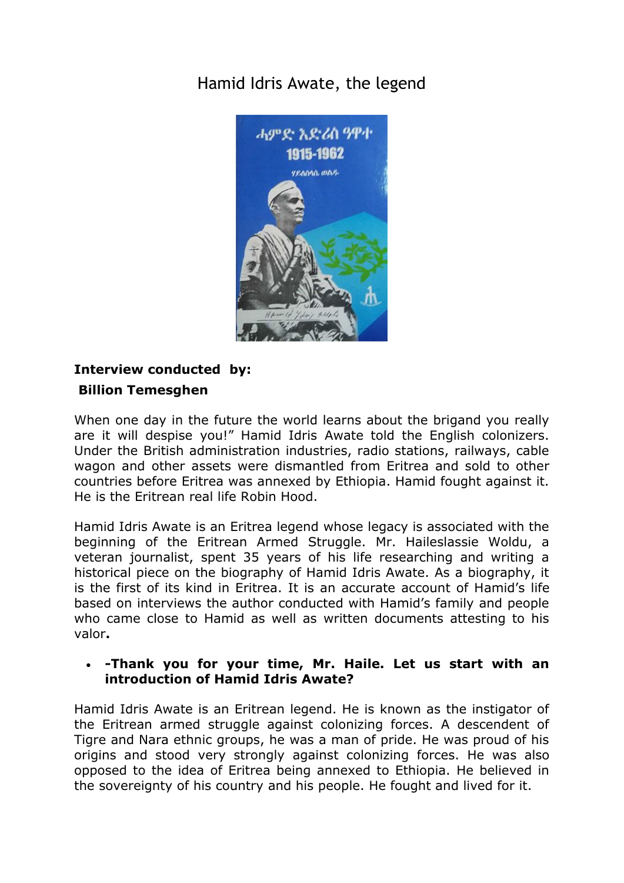# [Hamid Idris Awate, the legend](http://www.shabait.com/articles/q-a-a/28455-hamid-idris-awate-the-legend-)



## **Interview conducted by: Billion Temesghen**

When one day in the future the world learns about the brigand you really are it will despise you!" Hamid Idris Awate told the English colonizers. Under the British administration industries, radio stations, railways, cable wagon and other assets were dismantled from Eritrea and sold to other countries before Eritrea was annexed by Ethiopia. Hamid fought against it. He is the Eritrean real life Robin Hood.

Hamid Idris Awate is an Eritrea legend whose legacy is associated with the beginning of the Eritrean Armed Struggle. Mr. Haileslassie Woldu, a veteran journalist, spent 35 years of his life researching and writing a historical piece on the biography of Hamid Idris Awate. As a biography, it is the first of its kind in Eritrea. It is an accurate account of Hamid's life based on interviews the author conducted with Hamid's family and people who came close to Hamid as well as written documents attesting to his valor**.** 

## **-Thank you for your time, Mr. Haile. Let us start with an introduction of Hamid Idris Awate?**

Hamid Idris Awate is an Eritrean legend. He is known as the instigator of the Eritrean armed struggle against colonizing forces. A descendent of Tigre and Nara ethnic groups, he was a man of pride. He was proud of his origins and stood very strongly against colonizing forces. He was also opposed to the idea of Eritrea being annexed to Ethiopia. He believed in the sovereignty of his country and his people. He fought and lived for it.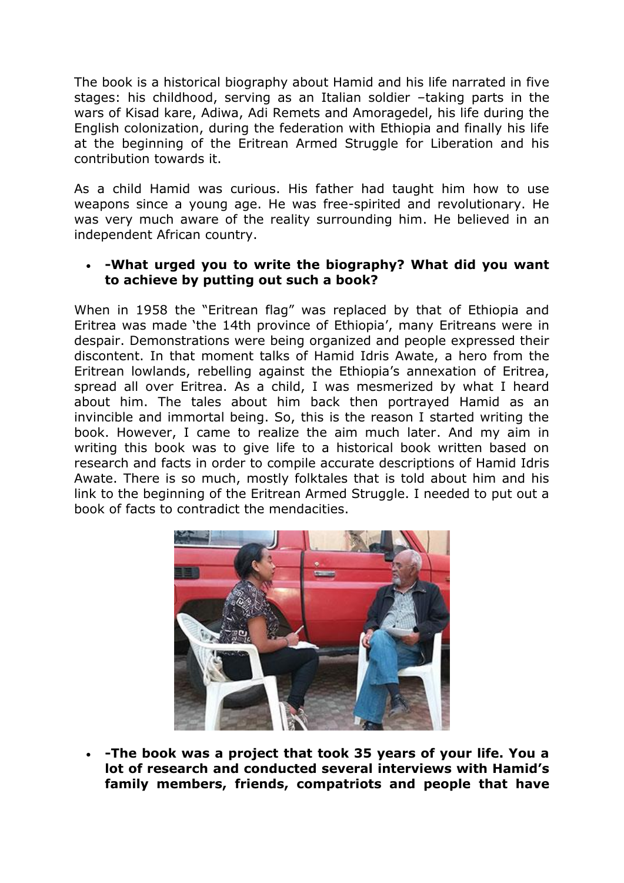The book is a historical biography about Hamid and his life narrated in five stages: his childhood, serving as an Italian soldier –taking parts in the wars of Kisad kare, Adiwa, Adi Remets and Amoragedel, his life during the English colonization, during the federation with Ethiopia and finally his life at the beginning of the Eritrean Armed Struggle for Liberation and his contribution towards it.

As a child Hamid was curious. His father had taught him how to use weapons since a young age. He was free-spirited and revolutionary. He was very much aware of the reality surrounding him. He believed in an independent African country.

#### **-What urged you to write the biography? What did you want to achieve by putting out such a book?**

When in 1958 the "Eritrean flag" was replaced by that of Ethiopia and Eritrea was made 'the 14th province of Ethiopia', many Eritreans were in despair. Demonstrations were being organized and people expressed their discontent. In that moment talks of Hamid Idris Awate, a hero from the Eritrean lowlands, rebelling against the Ethiopia's annexation of Eritrea, spread all over Eritrea. As a child, I was mesmerized by what I heard about him. The tales about him back then portrayed Hamid as an invincible and immortal being. So, this is the reason I started writing the book. However, I came to realize the aim much later. And my aim in writing this book was to give life to a historical book written based on research and facts in order to compile accurate descriptions of Hamid Idris Awate. There is so much, mostly folktales that is told about him and his link to the beginning of the Eritrean Armed Struggle. I needed to put out a book of facts to contradict the mendacities.



 **-The book was a project that took 35 years of your life. You a lot of research and conducted several interviews with Hamid's family members, friends, compatriots and people that have**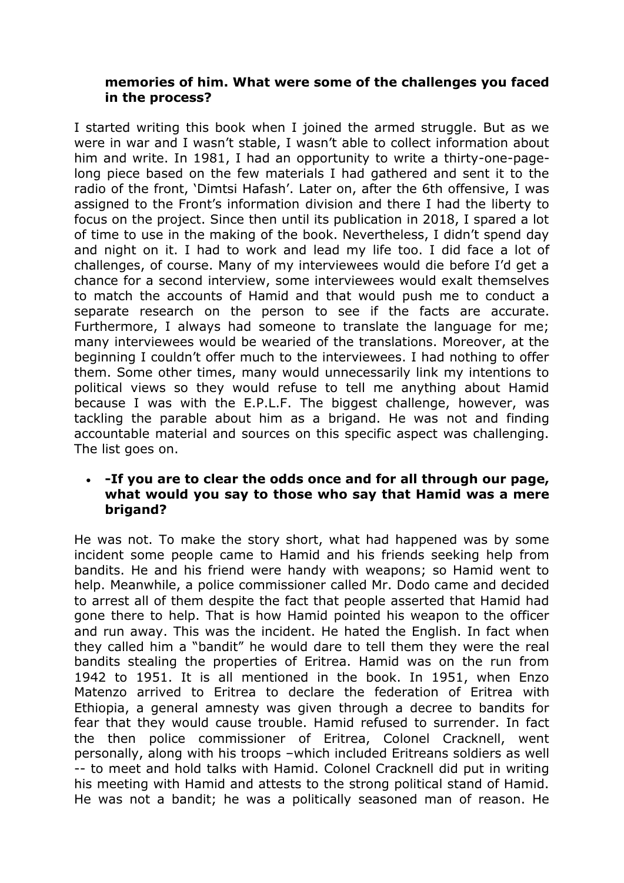#### **memories of him. What were some of the challenges you faced in the process?**

I started writing this book when I joined the armed struggle. But as we were in war and I wasn't stable, I wasn't able to collect information about him and write. In 1981, I had an opportunity to write a thirty-one-pagelong piece based on the few materials I had gathered and sent it to the radio of the front, 'Dimtsi Hafash'. Later on, after the 6th offensive, I was assigned to the Front's information division and there I had the liberty to focus on the project. Since then until its publication in 2018, I spared a lot of time to use in the making of the book. Nevertheless, I didn't spend day and night on it. I had to work and lead my life too. I did face a lot of challenges, of course. Many of my interviewees would die before I'd get a chance for a second interview, some interviewees would exalt themselves to match the accounts of Hamid and that would push me to conduct a separate research on the person to see if the facts are accurate. Furthermore, I always had someone to translate the language for me; many interviewees would be wearied of the translations. Moreover, at the beginning I couldn't offer much to the interviewees. I had nothing to offer them. Some other times, many would unnecessarily link my intentions to political views so they would refuse to tell me anything about Hamid because I was with the E.P.L.F. The biggest challenge, however, was tackling the parable about him as a brigand. He was not and finding accountable material and sources on this specific aspect was challenging. The list goes on.

#### **-If you are to clear the odds once and for all through our page, what would you say to those who say that Hamid was a mere brigand?**

He was not. To make the story short, what had happened was by some incident some people came to Hamid and his friends seeking help from bandits. He and his friend were handy with weapons; so Hamid went to help. Meanwhile, a police commissioner called Mr. Dodo came and decided to arrest all of them despite the fact that people asserted that Hamid had gone there to help. That is how Hamid pointed his weapon to the officer and run away. This was the incident. He hated the English. In fact when they called him a "bandit" he would dare to tell them they were the real bandits stealing the properties of Eritrea. Hamid was on the run from 1942 to 1951. It is all mentioned in the book. In 1951, when Enzo Matenzo arrived to Eritrea to declare the federation of Eritrea with Ethiopia, a general amnesty was given through a decree to bandits for fear that they would cause trouble. Hamid refused to surrender. In fact the then police commissioner of Eritrea, Colonel Cracknell, went personally, along with his troops –which included Eritreans soldiers as well -- to meet and hold talks with Hamid. Colonel Cracknell did put in writing his meeting with Hamid and attests to the strong political stand of Hamid. He was not a bandit; he was a politically seasoned man of reason. He